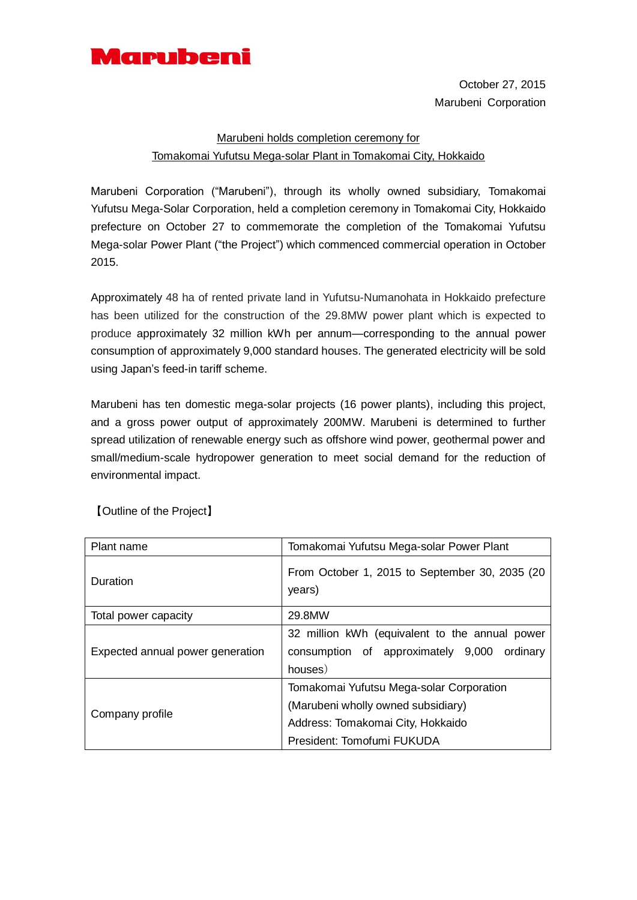

October 27, 2015 Marubeni Corporation

## Marubeni holds completion ceremony for Tomakomai Yufutsu Mega-solar Plant in Tomakomai City, Hokkaido

Marubeni Corporation ("Marubeni"), through its wholly owned subsidiary, Tomakomai Yufutsu Mega-Solar Corporation, held a completion ceremony in Tomakomai City, Hokkaido prefecture on October 27 to commemorate the completion of the Tomakomai Yufutsu Mega-solar Power Plant ("the Project") which commenced commercial operation in October 2015.

Approximately 48 ha of rented private land in Yufutsu-Numanohata in Hokkaido prefecture has been utilized for the construction of the 29.8MW power plant which is expected to produce approximately 32 million kWh per annum—corresponding to the annual power consumption of approximately 9,000 standard houses. The generated electricity will be sold using Japan's feed-in tariff scheme.

Marubeni has ten domestic mega-solar projects (16 power plants), including this project, and a gross power output of approximately 200MW. Marubeni is determined to further spread utilization of renewable energy such as offshore wind power, geothermal power and small/medium-scale hydropower generation to meet social demand for the reduction of environmental impact.

| Plant name                       | Tomakomai Yufutsu Mega-solar Power Plant                 |
|----------------------------------|----------------------------------------------------------|
| Duration                         | From October 1, 2015 to September 30, 2035 (20<br>years) |
| Total power capacity             | 29.8MW                                                   |
| Expected annual power generation | 32 million kWh (equivalent to the annual power           |
|                                  | consumption of approximately 9,000<br>ordinary           |
|                                  | houses)                                                  |
| Company profile                  | Tomakomai Yufutsu Mega-solar Corporation                 |
|                                  | (Marubeni wholly owned subsidiary)                       |
|                                  | Address: Tomakomai City, Hokkaido                        |
|                                  | President: Tomofumi FUKUDA                               |

【Outline of the Project】